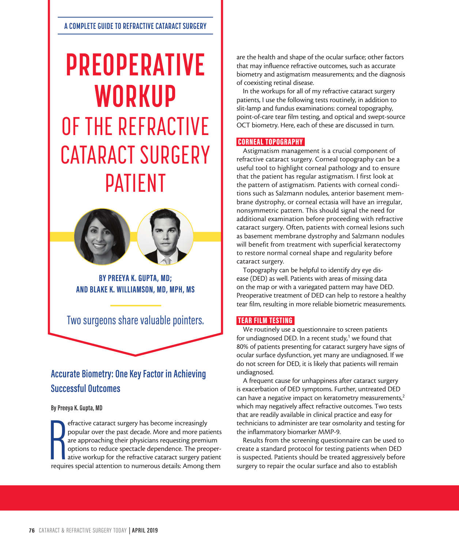# **PREOPERATIVE WORKUP** OF THE REFRACTIVE CATARACT SURGERY PATIENT



**BY PREEYA K. GUPTA, MD; AND BLAKE K. WILLIAMSON, MD, MPH, MS**

Two surgeons share valuable pointers.

# **Accurate Biometry: One Key Factor in Achieving Successful Outcomes**

#### **By Preeya K. Gupta, MD**

efractive cataract surgery has become increasingly<br>popular over the past decade. More and more patients<br>are approaching their physicians requesting premium<br>options to reduce spectacle dependence. The preoper-<br>ative workup efractive cataract surgery has become increasingly popular over the past decade. More and more patients are approaching their physicians requesting premium options to reduce spectacle dependence. The preoperative workup for the refractive cataract surgery patient are the health and shape of the ocular surface; other factors that may influence refractive outcomes, such as accurate biometry and astigmatism measurements; and the diagnosis of coexisting retinal disease.

In the workups for all of my refractive cataract surgery patients, I use the following tests routinely, in addition to slit-lamp and fundus examinations: corneal topography, point-of-care tear film testing, and optical and swept-source OCT biometry. Here, each of these are discussed in turn.

#### CORNEAL TOPOGRAPHY

Astigmatism management is a crucial component of refractive cataract surgery. Corneal topography can be a useful tool to highlight corneal pathology and to ensure that the patient has regular astigmatism. I first look at the pattern of astigmatism. Patients with corneal conditions such as Salzmann nodules, anterior basement membrane dystrophy, or corneal ectasia will have an irregular, nonsymmetric pattern. This should signal the need for additional examination before proceeding with refractive cataract surgery. Often, patients with corneal lesions such as basement membrane dystrophy and Salzmann nodules will benefit from treatment with superficial keratectomy to restore normal corneal shape and regularity before cataract surgery.

Topography can be helpful to identify dry eye disease (DED) as well. Patients with areas of missing data on the map or with a variegated pattern may have DED. Preoperative treatment of DED can help to restore a healthy tear film, resulting in more reliable biometric measurements.

#### TEAR FILM TESTING

We routinely use a questionnaire to screen patients for undiagnosed DED. In a recent study,<sup>1</sup> we found that 80% of patients presenting for cataract surgery have signs of ocular surface dysfunction, yet many are undiagnosed. If we do not screen for DED, it is likely that patients will remain undiagnosed.

A frequent cause for unhappiness after cataract surgery is exacerbation of DED symptoms. Further, untreated DED can have a negative impact on keratometry measurements,<sup>2</sup> which may negatively affect refractive outcomes. Two tests that are readily available in clinical practice and easy for technicians to administer are tear osmolarity and testing for the inflammatory biomarker MMP-9.

Results from the screening questionnaire can be used to create a standard protocol for testing patients when DED is suspected. Patients should be treated aggressively before surgery to repair the ocular surface and also to establish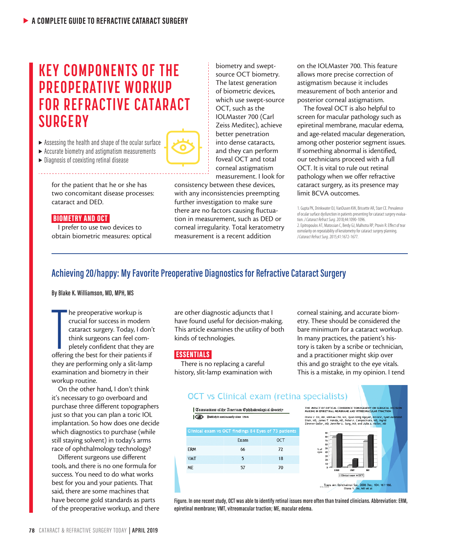# **KEY COMPONENTS OF THE PREOPERATIVE WORKUP FOR REFRACTIVE CATARACT SURGERY**

- $\triangleright$  Assessing the health and shape of the ocular surface
- $\blacktriangleright$  Accurate biometry and astigmatism measurements
- $\blacktriangleright$  Diagnosis of coexisting retinal disease

for the patient that he or she has two concomitant disease processes: cataract and DED.

#### BIOMETRY AND OCT

I prefer to use two devices to obtain biometric measures: optical

biometry and sweptsource OCT biometry. The latest generation of biometric devices, which use swept-source OCT, such as the IOLMaster 700 (Carl Zeiss Meditec), achieve better penetration into dense cataracts, and they can perform foveal OCT and total corneal astigmatism measurement. I look for

consistency between these devices, with any inconsistencies preempting further investigation to make sure there are no factors causing fluctuation in measurement, such as DED or corneal irregularity. Total keratometry measurement is a recent addition

on the IOLMaster 700. This feature allows more precise correction of astigmatism because it includes measurement of both anterior and posterior corneal astigmatism.

The foveal OCT is also helpful to screen for macular pathology such as epiretinal membrane, macular edema, and age-related macular degeneration, among other posterior segment issues. If something abnormal is identified, our technicians proceed with a full OCT. It is vital to rule out retinal pathology when we offer refractive cataract surgery, as its presence may limit BCVA outcomes.

*J Cataract Refract Surg*. 2015;41:1672-1677.

### **Achieving 20/happy: My Favorite Preoperative Diagnostics for Refractive Cataract Surgery**

#### **By Blake K. Williamson, MD, MPH, MS**

The preoperative workup is<br>
crucial for success in modern<br>
cataract surgery. Today, I don't<br>
think surgeons can feel com-<br>
pletely confident that they are<br>
offering the best for their patients if he preoperative workup is crucial for success in modern cataract surgery. Today, I don't think surgeons can feel completely confident that they are they are performing only a slit-lamp examination and biometry in their workup routine.

On the other hand, I don't think it's necessary to go overboard and purchase three different topographers just so that you can plan a toric IOL implantation. So how does one decide which diagnostics to purchase (while still staying solvent) in today's arms race of ophthalmology technology?

Different surgeons use different tools, and there is no one formula for success. You need to do what works best for you and your patients. That said, there are some machines that have become gold standards as parts of the preoperative workup, and there are other diagnostic adjuncts that I have found useful for decision-making. This article examines the utility of both kinds of technologies.

#### **ESSENTIALS**

There is no replacing a careful history, slit-lamp examination with corneal staining, and accurate biometry. These should be considered the bare minimum for a cataract workup. In many practices, the patient's history is taken by a scribe or technician, and a practitioner might skip over this and go straight to the eye vitals. This is a mistake, in my opinion. I tend

## **OCT** vs Clinical exam (retina specialists)





**Figure. In one recent study, OCT was able to identify retinal issues more often than trained clinicians. Abbreviation: ERM, epiretinal membrane; VMT, vitreomacular traction; ME, macular edema.** 

<sup>1.</sup> Gupta PK, Drinkwater OJ, VanDusen KW, Brissette AR, Starr CE. Prevalence of ocular surface dysfunction in patients presenting for cataract surgery evaluation. *J Cataract Refract Surg*. 2018;44:1090-1096. 2. Epitropoulos AT, Matossian C, Berdy GJ, Malhotra RP, Ptovin R. Effect of tear osmolarity on repeatability of keratometry for cataract surgery planning.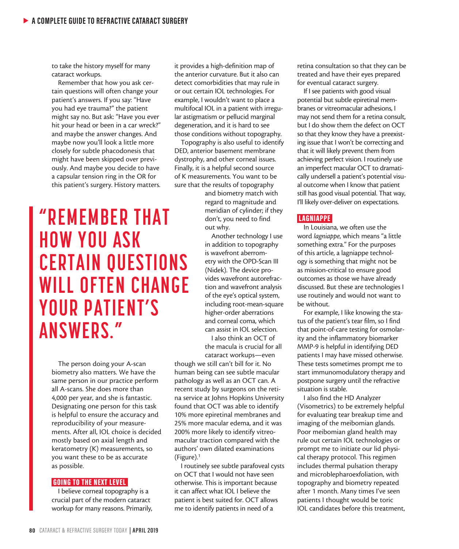to take the history myself for many cataract workups.

Remember that how you ask certain questions will often change your patient's answers. If you say: "Have you had eye trauma?" the patient might say no. But ask: "Have you ever hit your head or been in a car wreck?" and maybe the answer changes. And maybe now you'll look a little more closely for subtle phacodonesis that might have been skipped over previously. And maybe you decide to have a capsular tension ring in the OR for this patient's surgery. History matters.

**"REMEMBER THAT HOW YOU ASK CERTAIN QUESTIONS WILL OFTEN CHANGE YOUR PATIENT'S ANSWERS."**

The person doing your A-scan biometry also matters. We have the same person in our practice perform all A-scans. She does more than 4,000 per year, and she is fantastic. Designating one person for this task is helpful to ensure the accuracy and reproducibility of your measurements. After all, IOL choice is decided mostly based on axial length and keratometry (K) measurements, so you want these to be as accurate as possible.

#### GOING TO THE NEXT LEVEL

I believe corneal topography is a crucial part of the modern cataract workup for many reasons. Primarily, it provides a high-definition map of the anterior curvature. But it also can detect comorbidities that may rule in or out certain IOL technologies. For example, I wouldn't want to place a multifocal IOL in a patient with irregular astigmatism or pellucid marginal degeneration, and it is hard to see those conditions without topography.

Topography is also useful to identify DED, anterior basement membrane dystrophy, and other corneal issues. Finally, it is a helpful second source of K measurements. You want to be sure that the results of topography

> and biometry match with regard to magnitude and meridian of cylinder; if they don't, you need to find out why.

Another technology I use in addition to topography is wavefront aberrometry with the OPD-Scan III (Nidek). The device provides wavefront autorefraction and wavefront analysis of the eye's optical system, including root-mean-square higher-order aberrations and corneal coma, which can assist in IOL selection.

I also think an OCT of the macula is crucial for all cataract workups—even

though we still can't bill for it. No human being can see subtle macular pathology as well as an OCT can. A recent study by surgeons on the retina service at Johns Hopkins University found that OCT was able to identify 10% more epiretinal membranes and 25% more macular edema, and it was 200% more likely to identify vitreomacular traction compared with the authors' own dilated examinations (Figure).1

I routinely see subtle parafoveal cysts on OCT that I would not have seen otherwise. This is important because it can affect what IOL I believe the patient is best suited for. OCT allows me to identify patients in need of a

retina consultation so that they can be treated and have their eyes prepared for eventual cataract surgery.

If I see patients with good visual potential but subtle epiretinal membranes or vitreomacular adhesions, I may not send them for a retina consult, but I do show them the defect on OCT so that they know they have a preexisting issue that I won't be correcting and that it will likely prevent them from achieving perfect vision. I routinely use an imperfect macular OCT to dramatically undersell a patient's potential visual outcome when I know that patient still has good visual potential. That way, I'll likely over-deliver on expectations.

#### LAGNIAPPE

In Louisiana, we often use the word *lagniappe*, which means "a little something extra." For the purposes of this article, a lagniappe technology is something that might not be as mission-critical to ensure good outcomes as those we have already discussed. But these are technologies I use routinely and would not want to be without.

For example, I like knowing the status of the patient's tear film, so I find that point-of-care testing for osmolarity and the inflammatory biomarker MMP-9 is helpful in identifying DED patients I may have missed otherwise. These tests sometimes prompt me to start immunomodulatory therapy and postpone surgery until the refractive situation is stable.

I also find the HD Analyzer (Visometrics) to be extremely helpful for evaluating tear breakup time and imaging of the meibomian glands. Poor meibomian gland health may rule out certain IOL technologies or prompt me to initiate our lid physical therapy protocol. This regimen includes thermal pulsation therapy and microblepharoexfoliation, with topography and biometry repeated after 1 month. Many times I've seen patients I thought would be toric IOL candidates before this treatment,